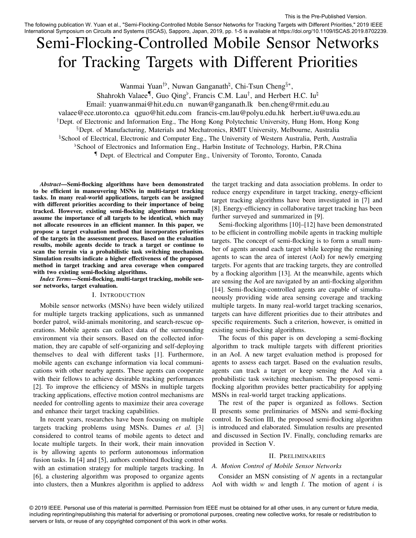The following publication W. Yuan et al., "Semi-Flocking-Controlled Mobile Sensor Networks for Tracking Targets with Different Priorities," 2019 IEEE International Symposium on Circuits and Systems (ISCAS), Sapporo, Japan, 2019, pp. 1-5 is available at https://doi.org/10.1109/ISCAS.2019.8702239.

# Semi-Flocking-Controlled Mobile Sensor Networks for Tracking Targets with Different Priorities

Wanmai Yuan<sup>†b</sup>, Nuwan Ganganath<sup>‡</sup>, Chi-Tsun Cheng<sup>§∗</sup>,

Shahrokh Valaee<sup>¶</sup>, Guo Qing<sup>b</sup>, Francis C.M. Lau<sup>†</sup>, and Herbert H.C. Iu<sup> $\sharp$ </sup>

Email: yuanwanmai@hit.edu.cn nuwan@ganganath.lk ben.cheng@rmit.edu.au

valaee@ece.utoronto.ca qguo@hit.edu.com francis-cm.lau@polyu.edu.hk herbert.iu@uwa.edu.au

†Dept. of Electronic and Information Eng., The Hong Kong Polytechnic University, Hung Hom, Hong Kong

§Dept. of Manufacturing, Materials and Mechatronics, RMIT University, Melbourne, Australia

<sup>h</sup>School of Electrical, Electronic and Computer Eng., The University of Western Australia, Perth, Australia

 $\beta$ School of Electronics and Information Eng., Harbin Institute of Technology, Harbin, P.R.China

¶ Dept. of Electrical and Computer Eng., University of Toronto, Toronto, Canada

*Abstract*—Semi-flocking algorithms have been demonstrated to be efficient in maneuvering MSNs in multi-target tracking tasks. In many real-world applications, targets can be assigned with different priorities according to their importance of being tracked. However, existing semi-flocking algorithms normally assume the importance of all targets to be identical, which may not allocate resources in an efficient manner. In this paper, we propose a target evaluation method that incorporates priorities of the targets in the assessment process. Based on the evaluation results, mobile agents decide to track a target or continue to scan the terrain via a probabilistic task switching mechanism. Simulation results indicate a higher effectiveness of the proposed method in target tracking and area coverage when compared with two existing semi-flocking algorithms.

*Index Terms*—Semi-flocking, multi-target tracking, mobile sensor networks, target evaluation.

## I. INTRODUCTION

Mobile sensor networks (MSNs) have been widely utilized for multiple targets tracking applications, such as unmanned border patrol, wild-animals monitoring, and search-rescue operations. Mobile agents can collect data of the surrounding environment via their sensors. Based on the collected information, they are capable of self-organizing and self-deploying themselves to deal with different tasks [1]. Furthermore, mobile agents can exchange information via local communications with other nearby agents. These agents can cooperate with their fellows to achieve desirable tracking performances [2]. To improve the efficiency of MSNs in multiple targets tracking applications, effective motion control mechanisms are needed for controlling agents to maximize their area coverage and enhance their target tracking capabilities.

In recent years, researches have been focusing on multiple targets tracking problems using MSNs. Dames *et al.* [3] considered to control teams of mobile agents to detect and locate multiple targets. In their work, their main innovation is by allowing agents to perform autonomous information fusion tasks. In [4] and [5], authors combined flocking control with an estimation strategy for multiple targets tracking. In [6], a clustering algorithm was proposed to organize agents into clusters, then a Munkres algorithm is applied to address

the target tracking and data association problems. In order to reduce energy expenditure in target tracking, energy-efficient target tracking algorithms have been investigated in [7] and [8]. Energy-efficiency in collaborative target tracking has been further surveyed and summarized in [9].

Semi-flocking algorithms [10]–[12] have been demonstrated to be efficient in controlling mobile agents in tracking multiple targets. The concept of semi-flocking is to form a small number of agents around each target while keeping the remaining agents to scan the area of interest (AoI) for newly emerging targets. For agents that are tracking targets, they are controlled by a flocking algorithm [13]. At the meanwhile, agents which are sensing the AoI are navigated by an anti-flocking algorithm [14]. Semi-flocking-controlled agents are capable of simultaneously providing wide area sensing coverage and tracking multiple targets. In many real-world target tracking scenarios, targets can have different priorities due to their attributes and specific requirements. Such a criterion, however, is omitted in existing semi-flocking algorithms.

The focus of this paper is on developing a semi-flocking algorithm to track multiple targets with different priorities in an AoI. A new target evaluation method is proposed for agents to assess each target. Based on the evaluation results, agents can track a target or keep sensing the AoI via a probabilistic task switching mechanism. The proposed semiflocking algorithm provides better practicability for applying MSNs in real-world target tracking applications.

The rest of the paper is organized as follows. Section II presents some preliminaries of MSNs and semi-flocking control. In Section III, the proposed semi-flocking algorithm is introduced and elaborated. Simulation results are presented and discussed in Section IV. Finally, concluding remarks are provided in Section V.

## II. PRELIMINARIES

## *A. Motion Control of Mobile Sensor Networks*

Consider an MSN consisting of *N* agents in a rectangular AoI with width *w* and length *l*. The motion of agent i is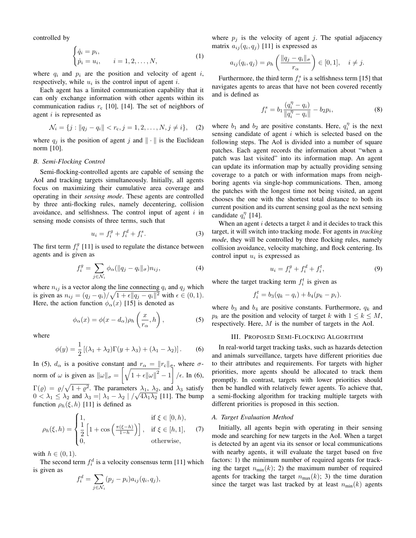controlled by

$$
\begin{cases} \dot{q}_i = p_i, \\ \dot{p}_i = u_i, \qquad i = 1, 2, \dots, N, \end{cases} \tag{1}
$$

where  $q_i$  and  $p_i$  are the position and velocity of agent i, respectively, while  $u_i$  is the control input of agent *i*.

Each agent has a limited communication capability that it can only exchange information with other agents within its communication radius  $r_c$  [10], [14]. The set of neighbors of agent *i* is represented as

$$
\mathcal{N}_i = \{j : ||q_j - q_i|| < r_c, j = 1, 2, \dots, N, j \neq i\}, \quad (2)
$$

where  $q_j$  is the position of agent j and  $\|\cdot\|$  is the Euclidean norm [10].

## *B. Semi-Flocking Control*

Semi-flocking-controlled agents are capable of sensing the AoI and tracking targets simultaneously. Initially, all agents focus on maximizing their cumulative area coverage and operating in their *sensing mode*. These agents are controlled by three anti-flocking rules, namely decentering, collision avoidance, and selfishness. The control input of agent  $i$  in sensing mode consists of three terms, such that

$$
u_i = f_i^g + f_i^d + f_i^s. \tag{3}
$$

The first term  $f_i^g$  [11] is used to regulate the distance between agents and is given as

$$
f_i^g = \sum_{j \in \mathcal{N}_i} \phi_\alpha(\|q_j - q_i\|_\sigma) n_{ij}, \tag{4}
$$

where  $n_{ij}$  is a vector along the line connecting  $q_i$  and  $q_j$  which is given as  $n_{ij} = (q_j - q_i)/\sqrt{1 + \epsilon ||q_j - q_i||^2}$  with  $\epsilon \in (0, 1)$ . Here, the action function  $\phi_{\alpha}(x)$  [15] is denoted as

$$
\phi_{\alpha}(x) = \phi(x - d_{\alpha})\rho_h\left(\frac{x}{r_{\alpha}}, h\right),\tag{5}
$$

where

$$
\phi(y) = \frac{1}{2} \left[ (\lambda_1 + \lambda_2) \Gamma(y + \lambda_3) + (\lambda_1 - \lambda_2) \right].
$$
 (6)

In (5),  $d_{\alpha}$  is a positive constant and  $r_{\alpha} = ||r_c||_{\sigma}$ , where  $\sigma$ norm of  $\omega$  is given as  $\|\omega\|_{\sigma} = \left[\sqrt{1 + \epsilon \|\omega\|^2} - 1\right] / \epsilon$ . In (6),  $\Gamma(\varrho) = \varrho / \sqrt{1 + \varrho^2}$ . The parameters  $\lambda_1$ ,  $\lambda_2$ , and  $\lambda_3$  satisfy  $0 < \lambda_1 \leq \lambda_2$  and  $\lambda_3 = |\lambda_1 - \lambda_2| / \sqrt{4\lambda_1\lambda_2}$  [11]. The bump function  $\rho_h(\xi, h)$  [11] is defined as

$$
\rho_h(\xi, h) = \begin{cases} 1, & \text{if } \xi \in [0, h), \\ \frac{1}{2} \left[ 1 + \cos \left( \frac{\pi(\xi - h)}{1 - h} \right) \right], & \text{if } \xi \in [h, 1], \\ 0, & \text{otherwise,} \end{cases} \tag{7}
$$

with  $h \in (0,1)$ .

The second term  $f_i^d$  is a velocity consensus term [11] which is given as

$$
f_i^d = \sum_{j \in \mathcal{N}_i} (p_j - p_i) a_{ij} (q_i, q_j),
$$

where  $p_i$  is the velocity of agent j. The spatial adjacency matrix  $a_{ij}(q_i, q_j)$  [11] is expressed as

$$
a_{ij}(q_i, q_j) = \rho_h\left(\frac{\|q_j - q_i\|_{\sigma}}{r_{\alpha}}\right) \in [0, 1], \quad i \neq j.
$$

Furthermore, the third term  $f_i^s$  is a selfishness term [15] that navigates agents to areas that have not been covered recently and is defined as

$$
f_i^s = b_1 \frac{(q_i^{\eta} - q_i)}{\|q_i^{\eta} - q_i\|} - b_2 p_i,
$$
 (8)

where  $b_1$  and  $b_2$  are positive constants. Here,  $q_i^{\eta}$  is the next sensing candidate of agent  $i$  which is selected based on the following steps. The AoI is divided into a number of square patches. Each agent records the information about "when a patch was last visited" into its information map. An agent can update its information map by actually providing sensing coverage to a patch or with information maps from neighboring agents via single-hop communications. Then, among the patches with the longest time not being visited, an agent chooses the one with the shortest total distance to both its current position and its current sensing goal as the next sensing candidate  $q_i^{\eta}$  [14].

When an agent  $i$  detects a target  $k$  and it decides to track this target, it will switch into tracking mode. For agents in *tracking mode*, they will be controlled by three flocking rules, namely collision avoidance, velocity matching, and flock centering. Its control input  $u_i$  is expressed as

$$
u_i = f_i^g + f_i^d + f_i^t,\tag{9}
$$

where the target tracking term  $f_i^t$  is given as

$$
f_i^t = b_3(q_k - q_i) + b_4(p_k - p_i).
$$

where  $b_3$  and  $b_4$  are positive constants. Furthermore,  $q_k$  and  $p_k$  are the position and velocity of target k with  $1 \leq k \leq M$ , respectively. Here, M is the number of targets in the AoI.

# III. PROPOSED SEMI-FLOCKING ALGORITHM

In real-world target tracking tasks, such as hazards detection and animals surveillance, targets have different priorities due to their attributes and requirements. For targets with higher priorities, more agents should be allocated to track them promptly. In contrast, targets with lower priorities should then be handled with relatively fewer agents. To achieve that, a semi-flocking algorithm for tracking multiple targets with different priorities is proposed in this section.

#### *A. Target Evaluation Method*

Initially, all agents begin with operating in their sensing mode and searching for new targets in the AoI. When a target is detected by an agent via its sensor or local communications with nearby agents, it will evaluate the target based on five factors: 1) the minimum number of required agents for tracking the target  $n_{\min}(k)$ ; 2) the maximum number of required agents for tracking the target  $n_{\text{max}}(k)$ ; 3) the time duration since the target was last tracked by at least  $n_{\text{min}}(k)$  agents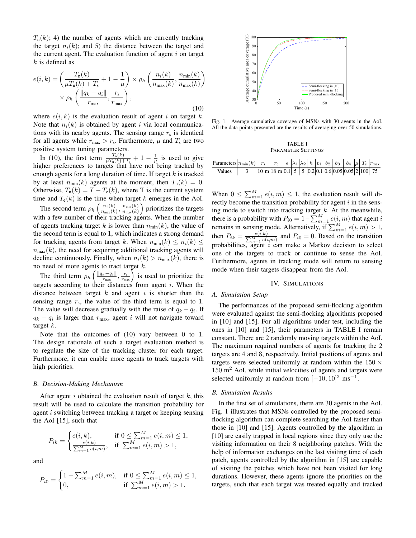$T_n(k)$ ; 4) the number of agents which are currently tracking the target  $n_i(k)$ ; and 5) the distance between the target and the current agent. The evaluation function of agent  $i$  on target  $k$  is defined as

$$
e(i,k) = \left(\frac{T_n(k)}{\mu T_n(k) + T_s} + 1 - \frac{1}{\mu}\right) \times \rho_h\left(\frac{n_i(k)}{n_{\max}(k)}, \frac{n_{\min}(k)}{n_{\max}(k)}\right) \times \rho_h\left(\frac{\|q_k - q_i\|}{r_{\max}}, \frac{r_s}{r_{\max}}\right),\tag{10}
$$

where  $e(i, k)$  is the evaluation result of agent i on target k. Note that  $n_i(k)$  is obtained by agent i via local communications with its nearby agents. The sensing range  $r_s$  is identical for all agents while  $r_{\text{max}} > r_s$ . Furthermore,  $\mu$  and  $T_s$  are two positive system tuning parameters.

In (10), the first term  $\frac{T_n(k)}{\mu T_n(k)+T_s}+1-\frac{1}{\mu}$  is used to give higher preferences to targets that have not being tracked by enough agents for a long duration of time. If target  $k$  is tracked by at least  $n_{\min}(k)$  agents at the moment, then  $T_n(k) = 0$ . Otherwise,  $T_n(k) = T - T_e(k)$ , where T is the current system time and  $T_e(k)$  is the time when target k emerges in the AoI.

The second term  $\rho_h\left(\frac{n_i(k)}{n_{\text{max}}(k)}\right)$  $\frac{n_i(k)}{n_{\max}(k)}, \frac{n_{\min}(k)}{n_{\max}(k)}$  $\frac{n_{\min}(k)}{n_{\max}(k)}$  prioritizes the targets with a few number of their tracking agents. When the number of agents tracking target k is lower than  $n_{\min}(k)$ , the value of the second term is equal to 1, which indicates a strong demand for tracking agents from target k. When  $n_{\min}(k) \leq n_i(k) \leq$  $n_{\text{max}}(k)$ , the need for acquiring additional tracking agents will decline continuously. Finally, when  $n_i(k) > n_{max}(k)$ , there is no need of more agents to tract target  $k$ .

The third term  $\rho_h\left(\frac{\|q_k-q_i\|}{r_{\text{max}}}\right)$  $\left( \frac{k-q_i}{r_{\text{max}}} \right)$ ,  $\left( \frac{r_s}{r_{\text{max}}} \right)$  is used to prioritize the targets according to their distances from agent  $i$ . When the distance between target  $k$  and agent  $i$  is shorter than the sensing range  $r_s$ , the value of the third term is equal to 1. The value will decrease gradually with the raise of  $q_k - q_i$ . If  $q_k - q_i$  is larger than  $r_{\text{max}}$ , agent i will not navigate toward target  $k$ .

Note that the outcomes of (10) vary between 0 to 1. The design rationale of such a target evaluation method is to regulate the size of the tracking cluster for each target. Furthermore, it can enable more agents to track targets with high priorities.

## *B. Decision-Making Mechanism*

After agent  $i$  obtained the evaluation result of target  $k$ , this result will be used to calculate the transition probability for agent i switching between tracking a target or keeping sensing the AoI [15], such that

$$
P_{ik} = \begin{cases} e(i,k), & \text{if } 0 \le \sum_{m=1}^{M} e(i,m) \le 1, \\ \frac{e(i,k)}{\sum_{m=1}^{M} e(i,m)}, & \text{if } \sum_{m=1}^{M} e(i,m) > 1, \end{cases}
$$

and

$$
P_{i0} = \begin{cases} 1 - \sum_{m=1}^{M} e(i, m), & \text{if } 0 \le \sum_{m=1}^{M} e(i, m) \le 1, \\ 0, & \text{if } \sum_{m=1}^{M} e(i, m) > 1. \end{cases}
$$



Fig. 1. Average cumulative coverage of MSNs with 30 agents in the AoI. All the data points presented are the results of averaging over 50 simulations.

#### TABLE I PARAMETER SETTINGS

| Parameters | $n_{\text{min}}(k)$ | $r_s$                                                                    | $r_c$ | $\epsilon$ | $\lambda_1$ | $\lambda_2$ | $h$ | $b_1$ | $b_2$ | $b_3$ | $b_4$ | $\mu$ | $T_s$ | $r_{\text{max}}$ |
|------------|---------------------|--------------------------------------------------------------------------|-------|------------|-------------|-------------|-----|-------|-------|-------|-------|-------|-------|------------------|
| Values     | 3                   | 10 m   18 m   0.1   5   5   0.2   0.1   0.6   0.05   0.05   2   100   75 |       |            |             |             |     |       |       |       |       |       |       |                  |

When  $0 \le \sum_{m=1}^{M} e(i, m) \le 1$ , the evaluation result will directly become the transition probability for agent  $i$  in the sensing mode to switch into tracking target  $k$ . At the meanwhile, there is a probability with  $P_{i0} = 1 - \sum_{m=1}^{M} e(i, m)$  that agent i remains in sensing mode. Alternatively, if  $\sum_{m=1}^{M} e(i, m) > 1$ , then  $P_{ik} = \frac{e(i,k)}{\sum_{m=1}^{M} e(i,m)}$  and  $P_{i0} = 0$ . Based on the transition probabilities, agent  $i$  can make a Markov decision to select one of the targets to track or continue to sense the AoI. Furthermore, agents in tracking mode will return to sensing mode when their targets disappear from the AoI.

## IV. SIMULATIONS

## *A. Simulation Setup*

The performances of the proposed semi-flocking algorithm were evaluated against the semi-flocking algorithms proposed in [10] and [15]. For all algorithms under test, including the ones in [10] and [15], their parameters in TABLE I remain constant. There are 2 randomly moving targets within the AoI. The maximum required numbers of agents for tracking the 2 targets are 4 and 8, respectively. Initial positions of agents and targets were selected uniformly at random within the  $150 \times$  $150 \text{ m}^2$  AoI, while initial velocities of agents and targets were selected uniformly at random from  $[-10, 10]^2$  ms<sup>-1</sup>.

# *B. Simulation Results*

In the first set of simulations, there are 30 agents in the AoI. Fig. 1 illustrates that MSNs controlled by the proposed semiflocking algorithm can complete searching the AoI faster than those in [10] and [15]. Agents controlled by the algorithm in [10] are easily trapped in local regions since they only use the visiting information on their 8 neighboring patches. With the help of information exchanges on the last visiting time of each patch, agents controlled by the algorithm in [15] are capable of visiting the patches which have not been visited for long durations. However, these agents ignore the priorities on the targets, such that each target was treated equally and tracked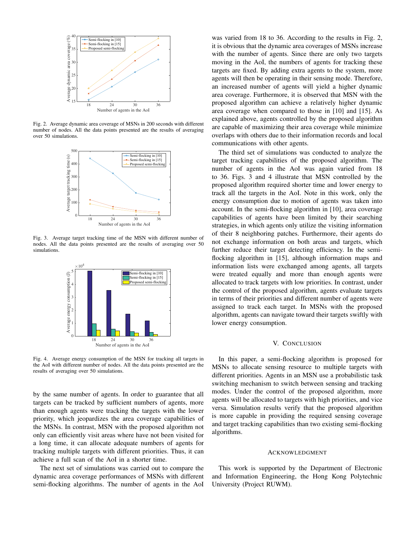

Fig. 2. Average dynamic area coverage of MSNs in 200 seconds with different number of nodes. All the data points presented are the results of averaging over 50 simulations.



Fig. 3. Average target tracking time of the MSN with different number of nodes. All the data points presented are the results of averaging over 50 simulations.



Fig. 4. Average energy consumption of the MSN for tracking all targets in the AoI with different number of nodes. All the data points presented are the results of averaging over 50 simulations.

by the same number of agents. In order to guarantee that all targets can be tracked by sufficient numbers of agents, more than enough agents were tracking the targets with the lower priority, which jeopardizes the area coverage capabilities of the MSNs. In contrast, MSN with the proposed algorithm not only can efficiently visit areas where have not been visited for a long time, it can allocate adequate numbers of agents for tracking multiple targets with different priorities. Thus, it can achieve a full scan of the AoI in a shorter time.

The next set of simulations was carried out to compare the dynamic area coverage performances of MSNs with different semi-flocking algorithms. The number of agents in the AoI

was varied from 18 to 36. According to the results in Fig. 2, it is obvious that the dynamic area coverages of MSNs increase with the number of agents. Since there are only two targets moving in the AoI, the numbers of agents for tracking these targets are fixed. By adding extra agents to the system, more agents will then be operating in their sensing mode. Therefore, an increased number of agents will yield a higher dynamic area coverage. Furthermore, it is observed that MSN with the proposed algorithm can achieve a relatively higher dynamic area coverage when compared to those in [10] and [15]. As explained above, agents controlled by the proposed algorithm are capable of maximizing their area coverage while minimize overlaps with others due to their information records and local communications with other agents.

The third set of simulations was conducted to analyze the target tracking capabilities of the proposed algorithm. The number of agents in the AoI was again varied from 18 to 36. Figs. 3 and 4 illustrate that MSN controlled by the proposed algorithm required shorter time and lower energy to track all the targets in the AoI. Note in this work, only the energy consumption due to motion of agents was taken into account. In the semi-flocking algorithm in [10], area coverage capabilities of agents have been limited by their searching strategies, in which agents only utilize the visiting information of their 8 neighboring patches. Furthermore, their agents do not exchange information on both areas and targets, which further reduce their target detecting efficiency. In the semiflocking algorithm in [15], although information maps and information lists were exchanged among agents, all targets were treated equally and more than enough agents were allocated to track targets with low priorities. In contrast, under the control of the proposed algorithm, agents evaluate targets in terms of their priorities and different number of agents were assigned to track each target. In MSNs with the proposed algorithm, agents can navigate toward their targets swiftly with lower energy consumption.

## V. CONCLUSION

In this paper, a semi-flocking algorithm is proposed for MSNs to allocate sensing resource to multiple targets with different priorities. Agents in an MSN use a probabilistic task switching mechanism to switch between sensing and tracking modes. Under the control of the proposed algorithm, more agents will be allocated to targets with high priorities, and vice versa. Simulation results verify that the proposed algorithm is more capable in providing the required sensing coverage and target tracking capabilities than two existing semi-flocking algorithms.

#### ACKNOWLEDGMENT

This work is supported by the Department of Electronic and Information Engineering, the Hong Kong Polytechnic University (Project RUWM).